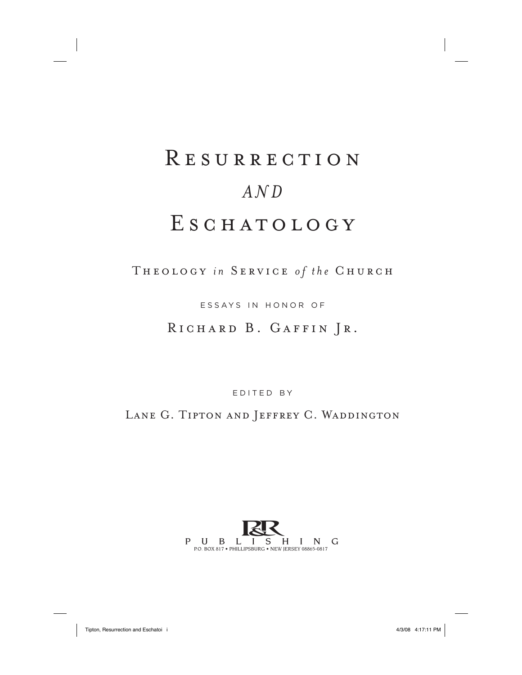# **RESURRECTION** *AND* ESCHATOLOGY

Theology *i n* Service *of the* Church

ESSAYS IN HONOR OF

# RICHARD B. GAFFIN JR.

EDITED B Y

LANE G. TIPTON AND JEFFREY C. WADDINGTON



Tipton, Resurrection and Eschatoi i intervention and Eschatoi i intervention and Eschatoi intervention and Eschatoi i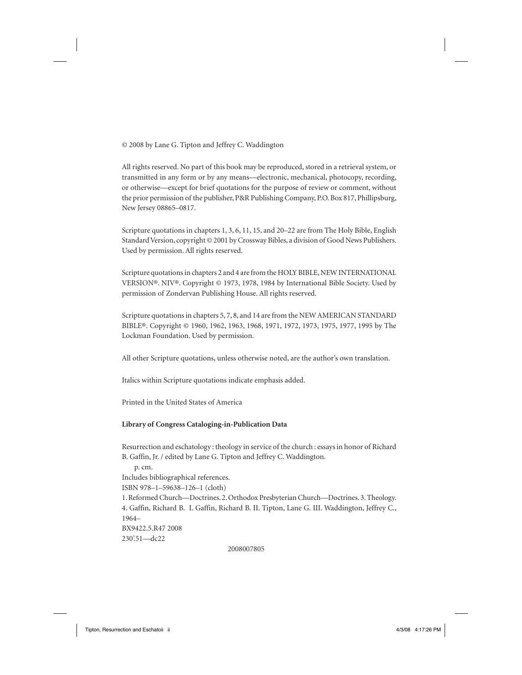© 2008 by Lane G. Tipton and Jeffrey C. Waddington

All rights reserved. No part of this book may be reproduced, stored in a retrieval system, or transmitted in any form or by any means—electronic, mechanical, photocopy, recording, or otherwise—except for brief quotations for the purpose of review or comment, without the prior permission of the publisher, P&R Publishing Company, P.O. Box 817, Phillipsburg, New Jersey 08865–0817.

Scripture quotations in chapters 1, 3, 6, 11, 15, and 20–22 are from The Holy Bible, English Standard Version, copyright © 2001 by Crossway Bibles, a division of Good News Publishers. Used by permission. All rights reserved.

Scripture quotations in chapters 2 and 4 are from the HOLY BIBLE, NEW INTERNATIONAL VERSION®. NIV®. Copyright © 1973, 1978, 1984 by International Bible Society. Used by permission of Zondervan Publishing House. All rights reserved.

Scripture quotations in chapters 5, 7, 8, and 14 are from the NEW AMERICAN STANDARD BIBLE®. Copyright © 1960, 1962, 1963, 1968, 1971, 1972, 1973, 1975, 1977, 1995 by The Lockman Foundation. Used by permission.

All other Scripture quotations, unless otherwise noted, are the author's own translation.

Italics within Scripture quotations indicate emphasis added.

Printed in the United States of America

### **Library of Congress Cataloging-in-Publication Data**

Resurrection and eschatology : theology in service of the church : essays in honor of Richard B. Gaffin, Jr. / edited by Lane G. Tipton and Jeffrey C. Waddington. p. cm. Includes bibliographical references. ISBN 978–1–59638–126–1 (cloth) 1. Reformed Church—Doctrines. 2. Orthodox Presbyterian Church—Doctrines. 3. Theology. 4. Gaffin, Richard B. I. Gaffin, Richard B. II. Tipton, Lane G. III. Waddington, Jeffrey C., 1964–

BX9422.5.R47 2008 230'.51—dc22

2008007805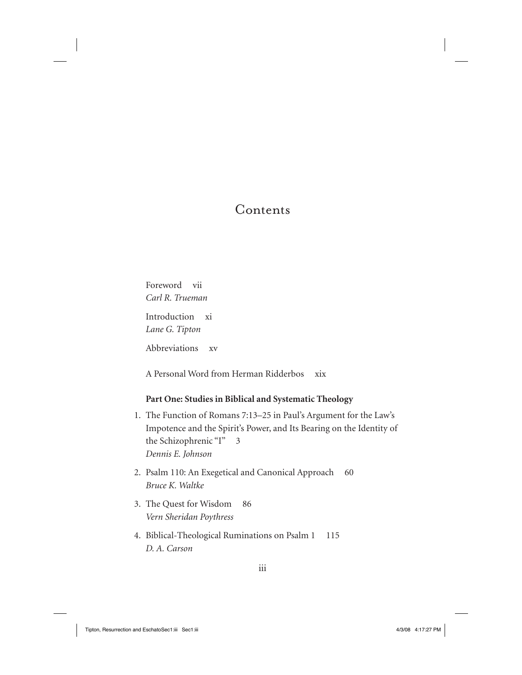### Contents

 Foreword vii *Carl R. Trueman*

 Introduction xi *Lane G. Tipton*

Abbreviations xv

A Personal Word from Herman Ridderbos xix

### **Part One: Studies in Biblical and Systematic Theology**

- 1. The Function of Romans 7:13–25 in Paul's Argument for the Law's Impotence and the Spirit's Power, and Its Bearing on the Identity of the Schizophrenic "I" 3 *Dennis E. Johnson*
- 2. Psalm 110: An Exegetical and Canonical Approach 60 *Bruce K. Waltke*
- 3. The Quest for Wisdom 86 *Vern Sheridan Poythress*
- 4. Biblical-Theological Ruminations on Psalm 1 115 *D. A. Carson*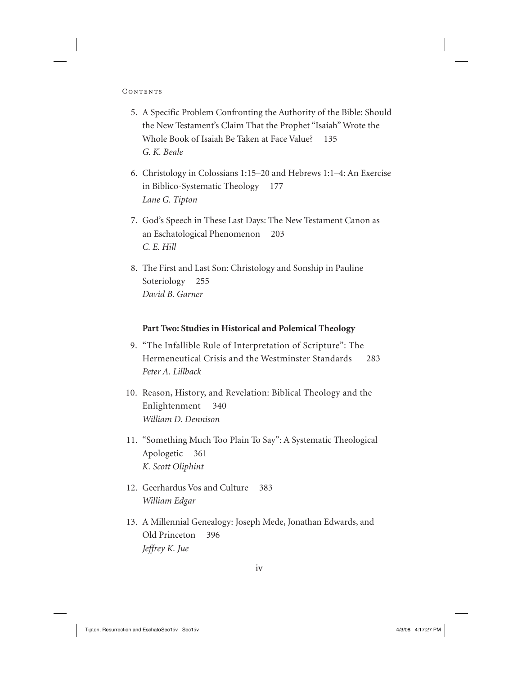### CONTENTS

- 5. A Specific Problem Confronting the Authority of the Bible: Should the New Testament's Claim That the Prophet "Isaiah" Wrote the Whole Book of Isaiah Be Taken at Face Value? 135 *G. K. Beale*
- 6. Christology in Colossians 1:15–20 and Hebrews 1:1–4: An Exercise in Biblico-Systematic Theology 177 *Lane G. Tipton*
- 7. God's Speech in These Last Days: The New Testament Canon as an Eschatological Phenomenon 203 *C. E. Hill*
- 8. The First and Last Son: Christology and Sonship in Pauline Soteriology 255 *David B. Garner*

### **Part Two: Studies in Historical and Polemical Theology**

- 9. "The Infallible Rule of Interpretation of Scripture": The Hermeneutical Crisis and the Westminster Standards 283 *Peter A. Lillback*
- 10. Reason, History, and Revelation: Biblical Theology and the Enlightenment 340 *William D. Dennison*
- 11. "Something Much Too Plain To Say": A Systematic Theological Apologetic 361 *K. Scott Oliphint*
- 12. Geerhardus Vos and Culture 383 *William Edgar*
- 13. A Millennial Genealogy: Joseph Mede, Jonathan Edwards, and Old Princeton 396 *Jeffrey K. Jue*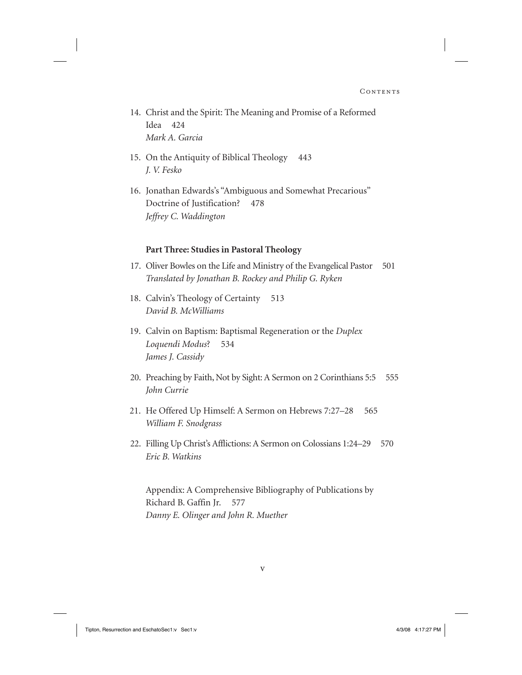### CONTENTS

- 14. Christ and the Spirit: The Meaning and Promise of a Reformed Idea 424 *Mark A. Garcia*
- 15. On the Antiquity of Biblical Theology 443 *J. V. Fesko*
- 16. Jonathan Edwards's "Ambiguous and Somewhat Precarious" Doctrine of Justification? 478 *Jeffrey C. Waddington*

### **Part Three: Studies in Pastoral Theology**

- 17. Oliver Bowles on the Life and Ministry of the Evangelical Pastor 501 *Translated by Jonathan B. Rockey and Philip G. Ryken*
- 18. Calvin's Theology of Certainty 513 *David B. McWilliams*
- 19. Calvin on Baptism: Baptismal Regeneration or the *Duplex Loquendi Modus*? 534 *James J. Cassidy*
- 20. Preaching by Faith, Not by Sight: A Sermon on 2 Corinthians 5:5 555 *John Currie*
- 21. He Offered Up Himself: A Sermon on Hebrews 7:27-28 565 *William F. Snodgrass*
- 22. Filling Up Christ's Afflictions: A Sermon on Colossians 1:24–29 570 *Eric B. Watkins*

 Appendix: A Comprehensive Bibliography of Publications by Richard B. Gaffin Jr. 577 *Danny E. Olinger and John R. Muether*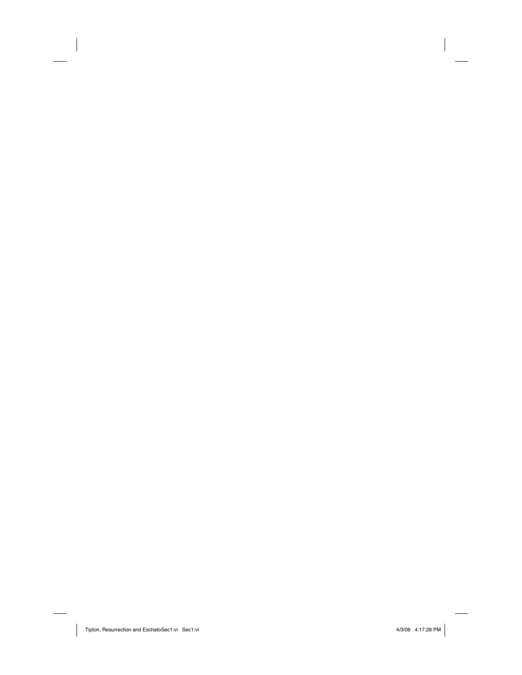Tipton, Resurrection and EschatoSec1:vi Sec1:vi ipton,  $4/3/08$  4:17:28 PM /3/08 4:17:28 PM /3/08 4:17:28 PM /3/08 4:17:28 PM /3/08 4:17:28 PM /3/08 4:17:28 PM /3/08 4:17:28 PM /3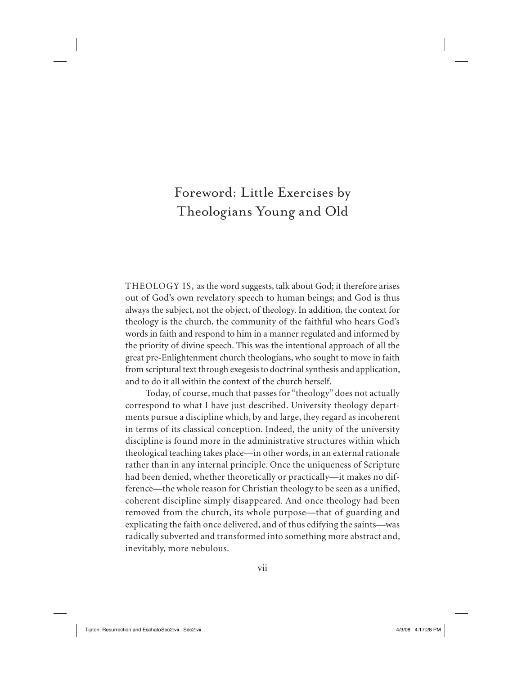## Foreword: Little Exercises by Theologians Young and Old

THEOLOGY IS, as the word suggests, talk about God; it therefore arises out of God's own revelatory speech to human beings; and God is thus always the subject, not the object, of theology. In addition, the context for theology is the church, the community of the faithful who hears God's words in faith and respond to him in a manner regulated and informed by the priority of divine speech. This was the intentional approach of all the great pre-Enlightenment church theologians, who sought to move in faith from scriptural text through exegesis to doctrinal synthesis and application, and to do it all within the context of the church herself.

Today, of course, much that passes for "theology" does not actually correspond to what I have just described. University theology departments pursue a discipline which, by and large, they regard as incoherent in terms of its classical conception. Indeed, the unity of the university discipline is found more in the administrative structures within which theological teaching takes place—in other words, in an external rationale rather than in any internal principle. Once the uniqueness of Scripture had been denied, whether theoretically or practically—it makes no difference—the whole reason for Christian theology to be seen as a unified, coherent discipline simply disappeared. And once theology had been removed from the church, its whole purpose—that of guarding and explicating the faith once delivered, and of thus edifying the saints—was radically subverted and transformed into something more abstract and, inevitably, more nebulous.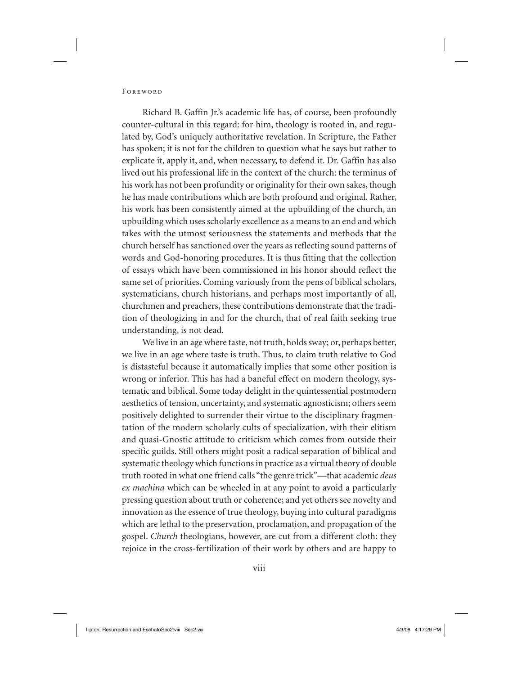### **FOREWORD**

Richard B. Gaffin Jr.'s academic life has, of course, been profoundly counter-cultural in this regard: for him, theology is rooted in, and regulated by, God's uniquely authoritative revelation. In Scripture, the Father has spoken; it is not for the children to question what he says but rather to explicate it, apply it, and, when necessary, to defend it. Dr. Gaffin has also lived out his professional life in the context of the church: the terminus of his work has not been profundity or originality for their own sakes, though he has made contributions which are both profound and original. Rather, his work has been consistently aimed at the upbuilding of the church, an upbuilding which uses scholarly excellence as a means to an end and which takes with the utmost seriousness the statements and methods that the church herself has sanctioned over the years as reflecting sound patterns of words and God-honoring procedures. It is thus fitting that the collection of essays which have been commissioned in his honor should reflect the same set of priorities. Coming variously from the pens of biblical scholars, systematicians, church historians, and perhaps most importantly of all, churchmen and preachers, these contributions demonstrate that the tradition of theologizing in and for the church, that of real faith seeking true understanding, is not dead.

We live in an age where taste, not truth, holds sway; or, perhaps better, we live in an age where taste is truth. Thus, to claim truth relative to God is distasteful because it automatically implies that some other position is wrong or inferior. This has had a baneful effect on modern theology, systematic and biblical. Some today delight in the quintessential postmodern aesthetics of tension, uncertainty, and systematic agnosticism; others seem positively delighted to surrender their virtue to the disciplinary fragmentation of the modern scholarly cults of specialization, with their elitism and quasi-Gnostic attitude to criticism which comes from outside their specific guilds. Still others might posit a radical separation of biblical and systematic theology which functions in practice as a virtual theory of double truth rooted in what one friend calls "the genre trick"—that academic *deus ex machina* which can be wheeled in at any point to avoid a particularly pressing question about truth or coherence; and yet others see novelty and innovation as the essence of true theology, buying into cultural paradigms which are lethal to the preservation, proclamation, and propagation of the gospel. *Church* theologians, however, are cut from a different cloth: they rejoice in the cross-fertilization of their work by others and are happy to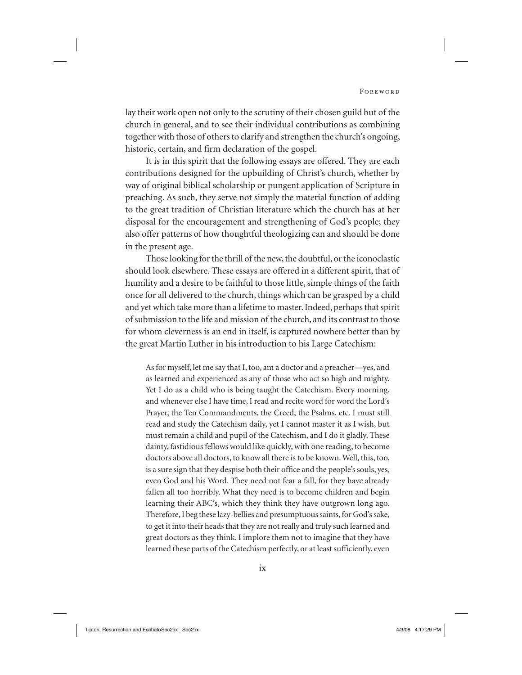#### **FOREWORD**

lay their work open not only to the scrutiny of their chosen guild but of the church in general, and to see their individual contributions as combining together with those of others to clarify and strengthen the church's ongoing, historic, certain, and firm declaration of the gospel.

It is in this spirit that the following essays are offered. They are each contributions designed for the upbuilding of Christ's church, whether by way of original biblical scholarship or pungent application of Scripture in preaching. As such, they serve not simply the material function of adding to the great tradition of Christian literature which the church has at her disposal for the encouragement and strengthening of God's people; they also offer patterns of how thoughtful theologizing can and should be done in the present age.

Those looking for the thrill of the new, the doubtful, or the iconoclastic should look elsewhere. These essays are offered in a different spirit, that of humility and a desire to be faithful to those little, simple things of the faith once for all delivered to the church, things which can be grasped by a child and yet which take more than a lifetime to master. Indeed, perhaps that spirit of submission to the life and mission of the church, and its contrast to those for whom cleverness is an end in itself, is captured nowhere better than by the great Martin Luther in his introduction to his Large Catechism:

As for myself, let me say that I, too, am a doctor and a preacher—yes, and as learned and experienced as any of those who act so high and mighty. Yet I do as a child who is being taught the Catechism. Every morning, and whenever else I have time, I read and recite word for word the Lord's Prayer, the Ten Commandments, the Creed, the Psalms, etc. I must still read and study the Catechism daily, yet I cannot master it as I wish, but must remain a child and pupil of the Catechism, and I do it gladly. These dainty, fastidious fellows would like quickly, with one reading, to become doctors above all doctors, to know all there is to be known. Well, this, too, is a sure sign that they despise both their office and the people's souls, yes, even God and his Word. They need not fear a fall, for they have already fallen all too horribly. What they need is to become children and begin learning their ABC's, which they think they have outgrown long ago. Therefore, I beg these lazy-bellies and presumptuous saints, for God's sake, to get it into their heads that they are not really and truly such learned and great doctors as they think. I implore them not to imagine that they have learned these parts of the Catechism perfectly, or at least sufficiently, even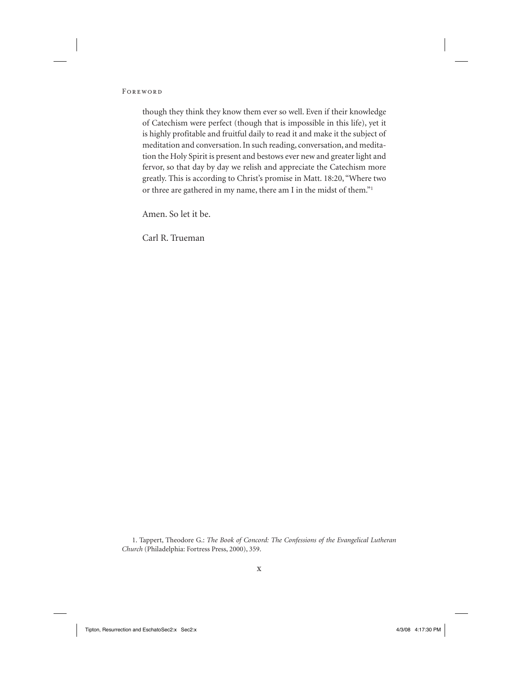### Foreword

though they think they know them ever so well. Even if their knowledge of Catechism were perfect (though that is impossible in this life), yet it is highly profitable and fruitful daily to read it and make it the subject of meditation and conversation. In such reading, conversation, and meditation the Holy Spirit is present and bestows ever new and greater light and fervor, so that day by day we relish and appreciate the Catechism more greatly. This is according to Christ's promise in Matt. 18:20, "Where two or three are gathered in my name, there am I in the midst of them."1

Amen. So let it be.

Carl R. Trueman

1. Tappert, Theodore G.: *The Book of Concord: The Confessions of the Evangelical Lutheran Church* (Philadelphia: Fortress Press, 2000), 359.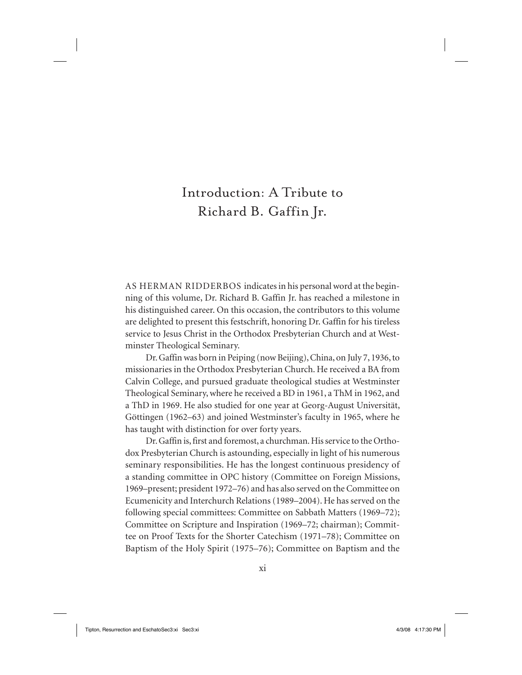### Introduction: A Tribute to Richard B. Gaffin Jr.

AS HERMAN RIDDERBOS indicates in his personal word at the beginning of this volume, Dr. Richard B. Gaffin Jr. has reached a milestone in his distinguished career. On this occasion, the contributors to this volume are delighted to present this festschrift, honoring Dr. Gaffin for his tireless service to Jesus Christ in the Orthodox Presbyterian Church and at Westminster Theological Seminary.

Dr. Gaffin was born in Peiping (now Beijing), China, on July 7, 1936, to missionaries in the Orthodox Presbyterian Church. He received a BA from Calvin College, and pursued graduate theological studies at Westminster Theological Seminary, where he received a BD in 1961, a ThM in 1962, and a ThD in 1969. He also studied for one year at Georg-August Universität, Göttingen (1962–63) and joined Westminster's faculty in 1965, where he has taught with distinction for over forty years.

Dr. Gaffin is, first and foremost, a churchman. His service to the Orthodox Presbyterian Church is astounding, especially in light of his numerous seminary responsibilities. He has the longest continuous presidency of a standing committee in OPC history (Committee on Foreign Missions, 1969–present; president 1972–76) and has also served on the Committee on Ecumenicity and Interchurch Relations (1989–2004). He has served on the following special committees: Committee on Sabbath Matters (1969–72); Committee on Scripture and Inspiration (1969–72; chairman); Committee on Proof Texts for the Shorter Catechism (1971–78); Committee on Baptism of the Holy Spirit (1975–76); Committee on Baptism and the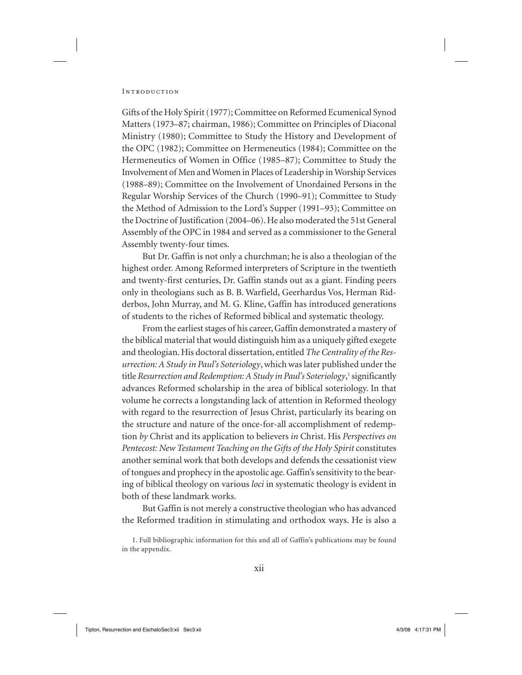### Introduction

Gifts of the Holy Spirit (1977); Committee on Reformed Ecumenical Synod Matters (1973–87; chairman, 1986); Committee on Principles of Diaconal Ministry (1980); Committee to Study the History and Development of the OPC (1982); Committee on Hermeneutics (1984); Committee on the Hermeneutics of Women in Office (1985–87); Committee to Study the Involvement of Men and Women in Places of Leadership in Worship Services (1988–89); Committee on the Involvement of Unordained Persons in the Regular Worship Services of the Church (1990–91); Committee to Study the Method of Admission to the Lord's Supper (1991–93); Committee on the Doctrine of Justification (2004–06). He also moderated the 51st General Assembly of the OPC in 1984 and served as a commissioner to the General Assembly twenty-four times.

But Dr. Gaffin is not only a churchman; he is also a theologian of the highest order. Among Reformed interpreters of Scripture in the twentieth and twenty-first centuries, Dr. Gaffin stands out as a giant. Finding peers only in theologians such as B. B. Warfield, Geerhardus Vos, Herman Ridderbos, John Murray, and M. G. Kline, Gaffin has introduced generations of students to the riches of Reformed biblical and systematic theology.

From the earliest stages of his career, Gaffin demonstrated a mastery of the biblical material that would distinguish him as a uniquely gifted exegete and theologian. His doctoral dissertation, entitled *The Centrality of the Resurrection: A Study in Paul's Soteriology*, which was later published under the title *Resurrection and Redemption: A Study in Paul's Soteriology*, <sup>1</sup> significantly advances Reformed scholarship in the area of biblical soteriology. In that volume he corrects a longstanding lack of attention in Reformed theology with regard to the resurrection of Jesus Christ, particularly its bearing on the structure and nature of the once-for-all accomplishment of redemption *by* Christ and its application to believers *in* Christ. His *Perspectives on Pentecost: New Testament Teaching on the Gifts of the Holy Spirit* constitutes another seminal work that both develops and defends the cessationist view of tongues and prophecy in the apostolic age. Gaffin's sensitivity to the bearing of biblical theology on various *loci* in systematic theology is evident in both of these landmark works.

But Gaffin is not merely a constructive theologian who has advanced the Reformed tradition in stimulating and orthodox ways. He is also a

<sup>1.</sup> Full bibliographic information for this and all of Gaffin's publications may be found in the appendix.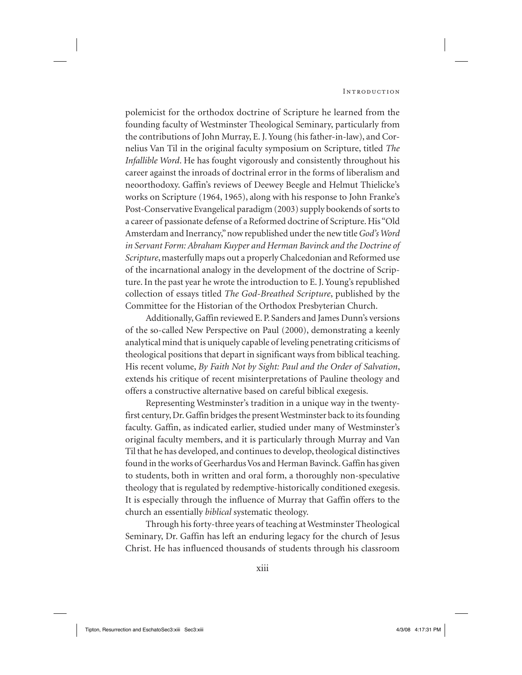### Introduction

polemicist for the orthodox doctrine of Scripture he learned from the founding faculty of Westminster Theological Seminary, particularly from the contributions of John Murray, E. J. Young (his father-in-law), and Cornelius Van Til in the original faculty symposium on Scripture, titled *The Infallible Word*. He has fought vigorously and consistently throughout his career against the inroads of doctrinal error in the forms of liberalism and neoorthodoxy. Gaffin's reviews of Deewey Beegle and Helmut Thielicke's works on Scripture (1964, 1965), along with his response to John Franke's Post-Conservative Evangelical paradigm (2003) supply bookends of sorts to a career of passionate defense of a Reformed doctrine of Scripture. His "Old Amsterdam and Inerrancy," now republished under the new title *God's Word in Servant Form: Abraham Kuyper and Herman Bavinck and the Doctrine of Scripture*, masterfully maps out a properly Chalcedonian and Reformed use of the incarnational analogy in the development of the doctrine of Scripture. In the past year he wrote the introduction to E. J. Young's republished collection of essays titled *The God-Breathed Scripture*, published by the Committee for the Historian of the Orthodox Presbyterian Church.

Additionally, Gaffin reviewed E. P. Sanders and James Dunn's versions of the so-called New Perspective on Paul (2000), demonstrating a keenly analytical mind that is uniquely capable of leveling penetrating criticisms of theological positions that depart in significant ways from biblical teaching. His recent volume, *By Faith Not by Sight: Paul and the Order of Salvation*, extends his critique of recent misinterpretations of Pauline theology and offers a constructive alternative based on careful biblical exegesis.

Representing Westminster's tradition in a unique way in the twentyfirst century, Dr. Gaffin bridges the present Westminster back to its founding faculty. Gaffin, as indicated earlier, studied under many of Westminster's original faculty members, and it is particularly through Murray and Van Til that he has developed, and continues to develop, theological distinctives found in the works of Geerhardus Vos and Herman Bavinck. Gaffin has given to students, both in written and oral form, a thoroughly non-speculative theology that is regulated by redemptive-historically conditioned exegesis. It is especially through the influence of Murray that Gaffin offers to the church an essentially *biblical* systematic theology.

Through his forty-three years of teaching at Westminster Theological Seminary, Dr. Gaffin has left an enduring legacy for the church of Jesus Christ. He has influenced thousands of students through his classroom